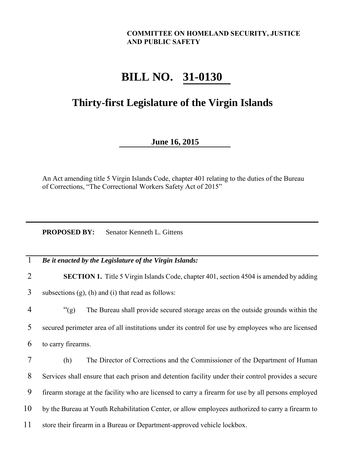## **COMMITTEE ON HOMELAND SECURITY, JUSTICE AND PUBLIC SAFETY**

## **BILL NO. 31-0130**

## **Thirty-first Legislature of the Virgin Islands**

## **June 16, 2015**

An Act amending title 5 Virgin Islands Code, chapter 401 relating to the duties of the Bureau of Corrections, "The Correctional Workers Safety Act of 2015"

**PROPOSED BY:** Senator Kenneth L. Gittens

| 1              | Be it enacted by the Legislature of the Virgin Islands:                                             |
|----------------|-----------------------------------------------------------------------------------------------------|
| $\overline{2}$ | <b>SECTION 1.</b> Title 5 Virgin Islands Code, chapter 401, section 4504 is amended by adding       |
| 3              | subsections $(g)$ , $(h)$ and $(i)$ that read as follows:                                           |
| 4              | $\degree$ (g)<br>The Bureau shall provide secured storage areas on the outside grounds within the   |
| 5              | secured perimeter area of all institutions under its control for use by employees who are licensed  |
| 6              | to carry firearms.                                                                                  |
| 7              | The Director of Corrections and the Commissioner of the Department of Human<br>(h)                  |
| 8              | Services shall ensure that each prison and detention facility under their control provides a secure |
| 9              | firearm storage at the facility who are licensed to carry a firearm for use by all persons employed |
| 10             | by the Bureau at Youth Rehabilitation Center, or allow employees authorized to carry a firearm to   |
| 11             | store their firearm in a Bureau or Department-approved vehicle lockbox.                             |
|                |                                                                                                     |